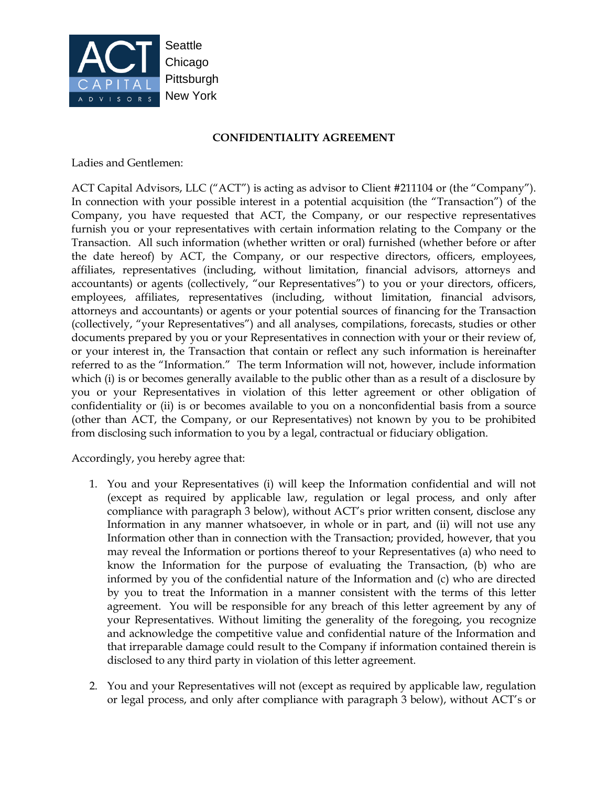

## **CONFIDENTIALITY AGREEMENT**

Ladies and Gentlemen:

ACT Capital Advisors, LLC ("ACT") is acting as advisor to Client #211104 or (the "Company"). In connection with your possible interest in a potential acquisition (the "Transaction") of the Company, you have requested that ACT, the Company, or our respective representatives furnish you or your representatives with certain information relating to the Company or the Transaction. All such information (whether written or oral) furnished (whether before or after the date hereof) by ACT, the Company, or our respective directors, officers, employees, affiliates, representatives (including, without limitation, financial advisors, attorneys and accountants) or agents (collectively, "our Representatives") to you or your directors, officers, employees, affiliates, representatives (including, without limitation, financial advisors, attorneys and accountants) or agents or your potential sources of financing for the Transaction (collectively, "your Representatives") and all analyses, compilations, forecasts, studies or other documents prepared by you or your Representatives in connection with your or their review of, or your interest in, the Transaction that contain or reflect any such information is hereinafter referred to as the "Information." The term Information will not, however, include information which (i) is or becomes generally available to the public other than as a result of a disclosure by you or your Representatives in violation of this letter agreement or other obligation of confidentiality or (ii) is or becomes available to you on a nonconfidential basis from a source (other than ACT, the Company, or our Representatives) not known by you to be prohibited from disclosing such information to you by a legal, contractual or fiduciary obligation.

Accordingly, you hereby agree that:

- 1. You and your Representatives (i) will keep the Information confidential and will not (except as required by applicable law, regulation or legal process, and only after compliance with paragraph 3 below), without ACT's prior written consent, disclose any Information in any manner whatsoever, in whole or in part, and (ii) will not use any Information other than in connection with the Transaction; provided, however, that you may reveal the Information or portions thereof to your Representatives (a) who need to know the Information for the purpose of evaluating the Transaction, (b) who are informed by you of the confidential nature of the Information and (c) who are directed by you to treat the Information in a manner consistent with the terms of this letter agreement. You will be responsible for any breach of this letter agreement by any of your Representatives. Without limiting the generality of the foregoing, you recognize and acknowledge the competitive value and confidential nature of the Information and that irreparable damage could result to the Company if information contained therein is disclosed to any third party in violation of this letter agreement.
- 2. You and your Representatives will not (except as required by applicable law, regulation or legal process, and only after compliance with paragraph 3 below), without ACT's or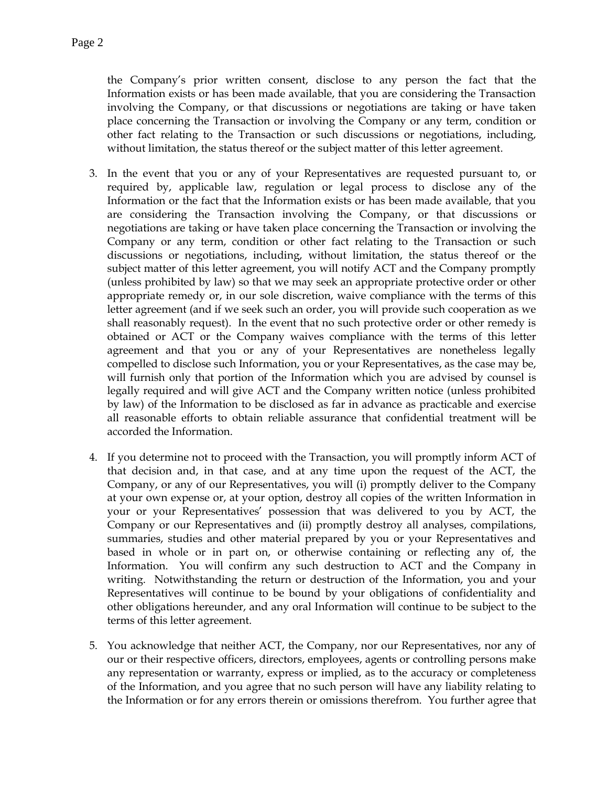the Company's prior written consent, disclose to any person the fact that the Information exists or has been made available, that you are considering the Transaction involving the Company, or that discussions or negotiations are taking or have taken place concerning the Transaction or involving the Company or any term, condition or other fact relating to the Transaction or such discussions or negotiations, including, without limitation, the status thereof or the subject matter of this letter agreement.

- 3. In the event that you or any of your Representatives are requested pursuant to, or required by, applicable law, regulation or legal process to disclose any of the Information or the fact that the Information exists or has been made available, that you are considering the Transaction involving the Company, or that discussions or negotiations are taking or have taken place concerning the Transaction or involving the Company or any term, condition or other fact relating to the Transaction or such discussions or negotiations, including, without limitation, the status thereof or the subject matter of this letter agreement, you will notify ACT and the Company promptly (unless prohibited by law) so that we may seek an appropriate protective order or other appropriate remedy or, in our sole discretion, waive compliance with the terms of this letter agreement (and if we seek such an order, you will provide such cooperation as we shall reasonably request). In the event that no such protective order or other remedy is obtained or ACT or the Company waives compliance with the terms of this letter agreement and that you or any of your Representatives are nonetheless legally compelled to disclose such Information, you or your Representatives, as the case may be, will furnish only that portion of the Information which you are advised by counsel is legally required and will give ACT and the Company written notice (unless prohibited by law) of the Information to be disclosed as far in advance as practicable and exercise all reasonable efforts to obtain reliable assurance that confidential treatment will be accorded the Information.
- 4. If you determine not to proceed with the Transaction, you will promptly inform ACT of that decision and, in that case, and at any time upon the request of the ACT, the Company, or any of our Representatives, you will (i) promptly deliver to the Company at your own expense or, at your option, destroy all copies of the written Information in your or your Representatives' possession that was delivered to you by ACT, the Company or our Representatives and (ii) promptly destroy all analyses, compilations, summaries, studies and other material prepared by you or your Representatives and based in whole or in part on, or otherwise containing or reflecting any of, the Information. You will confirm any such destruction to ACT and the Company in writing. Notwithstanding the return or destruction of the Information, you and your Representatives will continue to be bound by your obligations of confidentiality and other obligations hereunder, and any oral Information will continue to be subject to the terms of this letter agreement.
- 5. You acknowledge that neither ACT, the Company, nor our Representatives, nor any of our or their respective officers, directors, employees, agents or controlling persons make any representation or warranty, express or implied, as to the accuracy or completeness of the Information, and you agree that no such person will have any liability relating to the Information or for any errors therein or omissions therefrom. You further agree that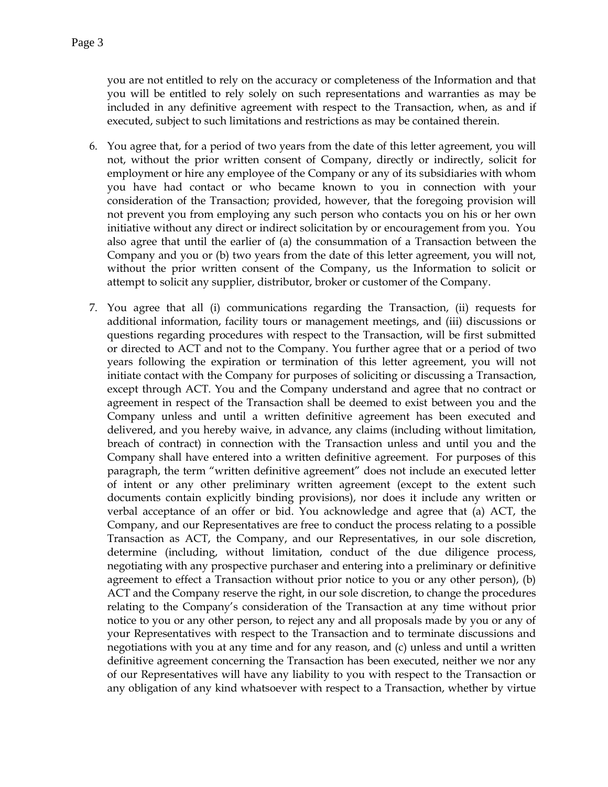you are not entitled to rely on the accuracy or completeness of the Information and that you will be entitled to rely solely on such representations and warranties as may be included in any definitive agreement with respect to the Transaction, when, as and if executed, subject to such limitations and restrictions as may be contained therein.

- 6. You agree that, for a period of two years from the date of this letter agreement, you will not, without the prior written consent of Company, directly or indirectly, solicit for employment or hire any employee of the Company or any of its subsidiaries with whom you have had contact or who became known to you in connection with your consideration of the Transaction; provided, however, that the foregoing provision will not prevent you from employing any such person who contacts you on his or her own initiative without any direct or indirect solicitation by or encouragement from you. You also agree that until the earlier of (a) the consummation of a Transaction between the Company and you or (b) two years from the date of this letter agreement, you will not, without the prior written consent of the Company, us the Information to solicit or attempt to solicit any supplier, distributor, broker or customer of the Company.
- 7. You agree that all (i) communications regarding the Transaction, (ii) requests for additional information, facility tours or management meetings, and (iii) discussions or questions regarding procedures with respect to the Transaction, will be first submitted or directed to ACT and not to the Company. You further agree that or a period of two years following the expiration or termination of this letter agreement, you will not initiate contact with the Company for purposes of soliciting or discussing a Transaction, except through ACT. You and the Company understand and agree that no contract or agreement in respect of the Transaction shall be deemed to exist between you and the Company unless and until a written definitive agreement has been executed and delivered, and you hereby waive, in advance, any claims (including without limitation, breach of contract) in connection with the Transaction unless and until you and the Company shall have entered into a written definitive agreement. For purposes of this paragraph, the term "written definitive agreement" does not include an executed letter of intent or any other preliminary written agreement (except to the extent such documents contain explicitly binding provisions), nor does it include any written or verbal acceptance of an offer or bid. You acknowledge and agree that (a) ACT, the Company, and our Representatives are free to conduct the process relating to a possible Transaction as ACT, the Company, and our Representatives, in our sole discretion, determine (including, without limitation, conduct of the due diligence process, negotiating with any prospective purchaser and entering into a preliminary or definitive agreement to effect a Transaction without prior notice to you or any other person), (b) ACT and the Company reserve the right, in our sole discretion, to change the procedures relating to the Company's consideration of the Transaction at any time without prior notice to you or any other person, to reject any and all proposals made by you or any of your Representatives with respect to the Transaction and to terminate discussions and negotiations with you at any time and for any reason, and (c) unless and until a written definitive agreement concerning the Transaction has been executed, neither we nor any of our Representatives will have any liability to you with respect to the Transaction or any obligation of any kind whatsoever with respect to a Transaction, whether by virtue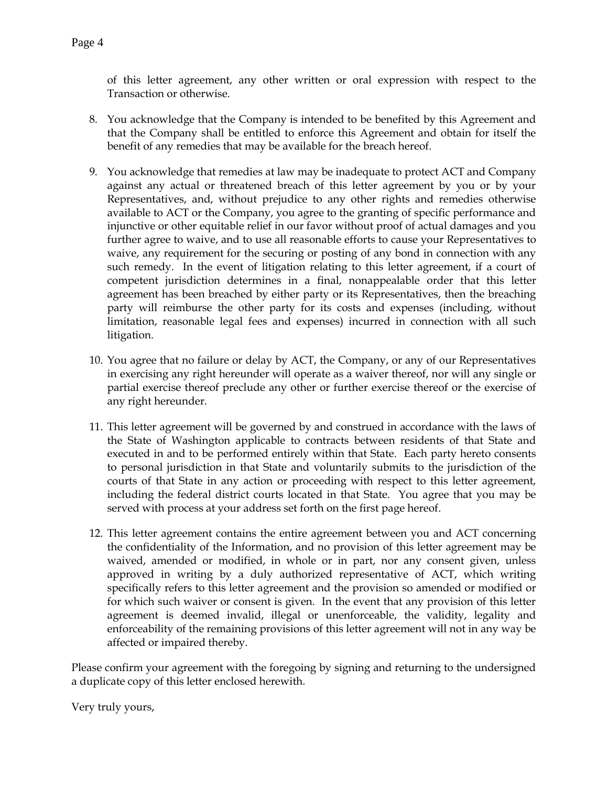of this letter agreement, any other written or oral expression with respect to the Transaction or otherwise.

- 8. You acknowledge that the Company is intended to be benefited by this Agreement and that the Company shall be entitled to enforce this Agreement and obtain for itself the benefit of any remedies that may be available for the breach hereof.
- 9. You acknowledge that remedies at law may be inadequate to protect ACT and Company against any actual or threatened breach of this letter agreement by you or by your Representatives, and, without prejudice to any other rights and remedies otherwise available to ACT or the Company, you agree to the granting of specific performance and injunctive or other equitable relief in our favor without proof of actual damages and you further agree to waive, and to use all reasonable efforts to cause your Representatives to waive, any requirement for the securing or posting of any bond in connection with any such remedy. In the event of litigation relating to this letter agreement, if a court of competent jurisdiction determines in a final, nonappealable order that this letter agreement has been breached by either party or its Representatives, then the breaching party will reimburse the other party for its costs and expenses (including, without limitation, reasonable legal fees and expenses) incurred in connection with all such litigation.
- 10. You agree that no failure or delay by ACT, the Company, or any of our Representatives in exercising any right hereunder will operate as a waiver thereof, nor will any single or partial exercise thereof preclude any other or further exercise thereof or the exercise of any right hereunder.
- 11. This letter agreement will be governed by and construed in accordance with the laws of the State of Washington applicable to contracts between residents of that State and executed in and to be performed entirely within that State. Each party hereto consents to personal jurisdiction in that State and voluntarily submits to the jurisdiction of the courts of that State in any action or proceeding with respect to this letter agreement, including the federal district courts located in that State. You agree that you may be served with process at your address set forth on the first page hereof.
- 12. This letter agreement contains the entire agreement between you and ACT concerning the confidentiality of the Information, and no provision of this letter agreement may be waived, amended or modified, in whole or in part, nor any consent given, unless approved in writing by a duly authorized representative of ACT, which writing specifically refers to this letter agreement and the provision so amended or modified or for which such waiver or consent is given. In the event that any provision of this letter agreement is deemed invalid, illegal or unenforceable, the validity, legality and enforceability of the remaining provisions of this letter agreement will not in any way be affected or impaired thereby.

Please confirm your agreement with the foregoing by signing and returning to the undersigned a duplicate copy of this letter enclosed herewith.

Very truly yours,